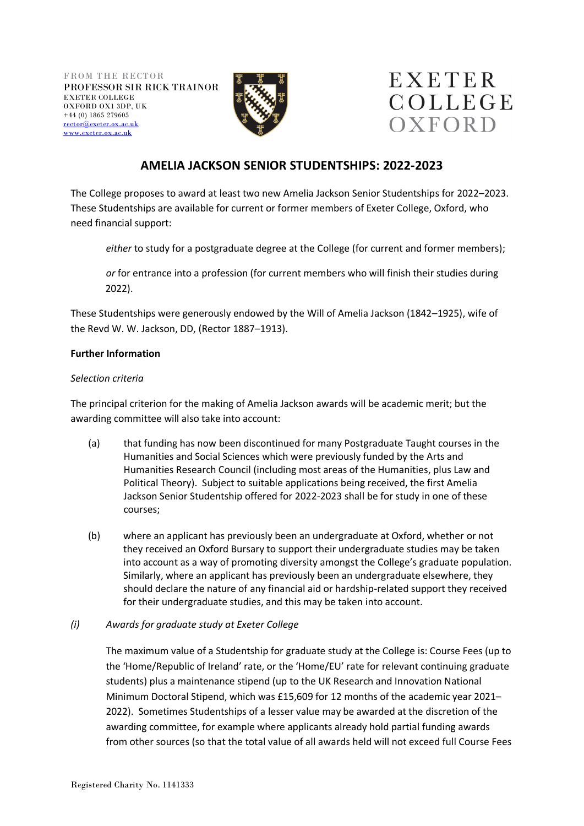



# **AMELIA JACKSON SENIOR STUDENTSHIPS: 2022-2023**

The College proposes to award at least two new Amelia Jackson Senior Studentships for 2022–2023. These Studentships are available for current or former members of Exeter College, Oxford, who need financial support:

*either* to study for a postgraduate degree at the College (for current and former members);

*or* for entrance into a profession (for current members who will finish their studies during 2022).

These Studentships were generously endowed by the Will of Amelia Jackson (1842–1925), wife of the Revd W. W. Jackson, DD, (Rector 1887–1913).

## **Further Information**

## *Selection criteria*

The principal criterion for the making of Amelia Jackson awards will be academic merit; but the awarding committee will also take into account:

- (a) that funding has now been discontinued for many Postgraduate Taught courses in the Humanities and Social Sciences which were previously funded by the Arts and Humanities Research Council (including most areas of the Humanities, plus Law and Political Theory). Subject to suitable applications being received, the first Amelia Jackson Senior Studentship offered for 2022-2023 shall be for study in one of these courses;
- (b) where an applicant has previously been an undergraduate at Oxford, whether or not they received an Oxford Bursary to support their undergraduate studies may be taken into account as a way of promoting diversity amongst the College's graduate population. Similarly, where an applicant has previously been an undergraduate elsewhere, they should declare the nature of any financial aid or hardship-related support they received for their undergraduate studies, and this may be taken into account.

## *(i) Awards for graduate study at Exeter College*

The maximum value of a Studentship for graduate study at the College is: Course Fees (up to the 'Home/Republic of Ireland' rate, or the 'Home/EU' rate for relevant continuing graduate students) plus a maintenance stipend (up to the UK Research and Innovation National Minimum Doctoral Stipend, which was £15,609 for 12 months of the academic year 2021– 2022). Sometimes Studentships of a lesser value may be awarded at the discretion of the awarding committee, for example where applicants already hold partial funding awards from other sources (so that the total value of all awards held will not exceed full Course Fees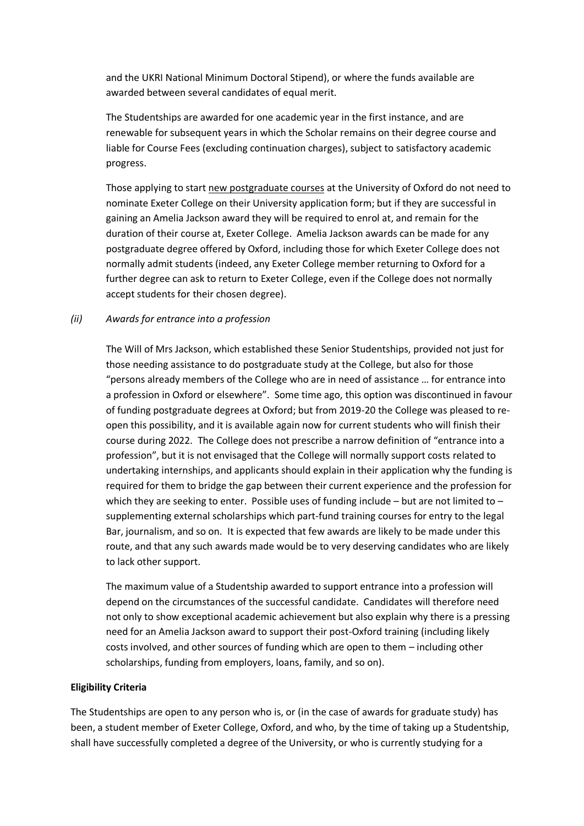and the UKRI National Minimum Doctoral Stipend), or where the funds available are awarded between several candidates of equal merit.

The Studentships are awarded for one academic year in the first instance, and are renewable for subsequent years in which the Scholar remains on their degree course and liable for Course Fees (excluding continuation charges), subject to satisfactory academic progress.

Those applying to start new postgraduate courses at the University of Oxford do not need to nominate Exeter College on their University application form; but if they are successful in gaining an Amelia Jackson award they will be required to enrol at, and remain for the duration of their course at, Exeter College. Amelia Jackson awards can be made for any postgraduate degree offered by Oxford, including those for which Exeter College does not normally admit students (indeed, any Exeter College member returning to Oxford for a further degree can ask to return to Exeter College, even if the College does not normally accept students for their chosen degree).

#### *(ii) Awards for entrance into a profession*

The Will of Mrs Jackson, which established these Senior Studentships, provided not just for those needing assistance to do postgraduate study at the College, but also for those "persons already members of the College who are in need of assistance … for entrance into a profession in Oxford or elsewhere". Some time ago, this option was discontinued in favour of funding postgraduate degrees at Oxford; but from 2019-20 the College was pleased to reopen this possibility, and it is available again now for current students who will finish their course during 2022. The College does not prescribe a narrow definition of "entrance into a profession", but it is not envisaged that the College will normally support costs related to undertaking internships, and applicants should explain in their application why the funding is required for them to bridge the gap between their current experience and the profession for which they are seeking to enter. Possible uses of funding include – but are not limited to – supplementing external scholarships which part-fund training courses for entry to the legal Bar, journalism, and so on. It is expected that few awards are likely to be made under this route, and that any such awards made would be to very deserving candidates who are likely to lack other support.

The maximum value of a Studentship awarded to support entrance into a profession will depend on the circumstances of the successful candidate. Candidates will therefore need not only to show exceptional academic achievement but also explain why there is a pressing need for an Amelia Jackson award to support their post-Oxford training (including likely costs involved, and other sources of funding which are open to them – including other scholarships, funding from employers, loans, family, and so on).

#### **Eligibility Criteria**

The Studentships are open to any person who is, or (in the case of awards for graduate study) has been, a student member of Exeter College, Oxford, and who, by the time of taking up a Studentship, shall have successfully completed a degree of the University, or who is currently studying for a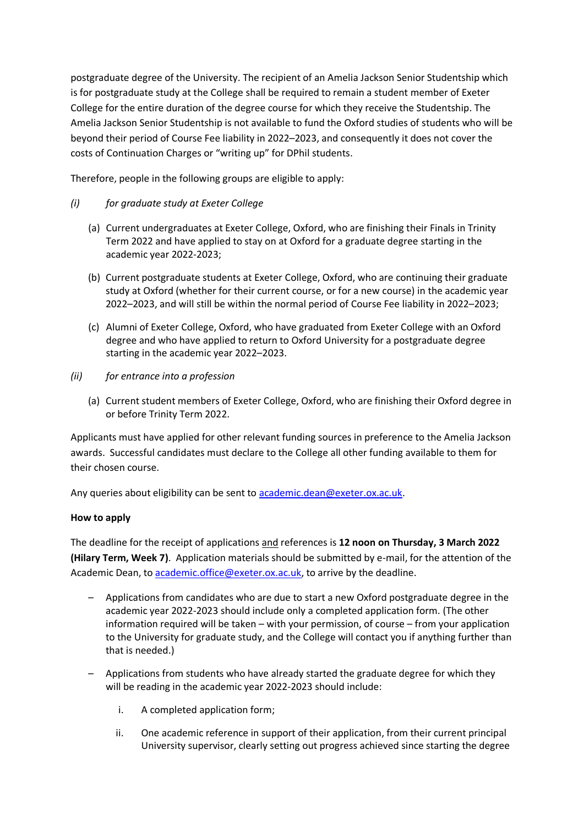postgraduate degree of the University. The recipient of an Amelia Jackson Senior Studentship which is for postgraduate study at the College shall be required to remain a student member of Exeter College for the entire duration of the degree course for which they receive the Studentship. The Amelia Jackson Senior Studentship is not available to fund the Oxford studies of students who will be beyond their period of Course Fee liability in 2022–2023, and consequently it does not cover the costs of Continuation Charges or "writing up" for DPhil students.

Therefore, people in the following groups are eligible to apply:

## *(i) for graduate study at Exeter College*

- (a) Current undergraduates at Exeter College, Oxford, who are finishing their Finals in Trinity Term 2022 and have applied to stay on at Oxford for a graduate degree starting in the academic year 2022-2023;
- (b) Current postgraduate students at Exeter College, Oxford, who are continuing their graduate study at Oxford (whether for their current course, or for a new course) in the academic year 2022–2023, and will still be within the normal period of Course Fee liability in 2022–2023;
- (c) Alumni of Exeter College, Oxford, who have graduated from Exeter College with an Oxford degree and who have applied to return to Oxford University for a postgraduate degree starting in the academic year 2022–2023.
- *(ii) for entrance into a profession*
	- (a) Current student members of Exeter College, Oxford, who are finishing their Oxford degree in or before Trinity Term 2022.

Applicants must have applied for other relevant funding sources in preference to the Amelia Jackson awards. Successful candidates must declare to the College all other funding available to them for their chosen course.

Any queries about eligibility can be sent to [academic.dean@exeter.ox.ac.uk.](mailto:academic.dean@exeter.ox.ac.uk)

## **How to apply**

The deadline for the receipt of applications and references is **12 noon on Thursday, 3 March 2022 (Hilary Term, Week 7)**. Application materials should be submitted by e-mail, for the attention of the Academic Dean, to [academic.office@exeter.ox.ac.uk,](mailto:academic.office@exeter.ox.ac.uk) to arrive by the deadline.

- *–* Applications from candidates who are due to start a new Oxford postgraduate degree in the academic year 2022-2023 should include only a completed application form. (The other information required will be taken – with your permission, of course – from your application to the University for graduate study, and the College will contact you if anything further than that is needed.)
- *–* Applications from students who have already started the graduate degree for which they will be reading in the academic year 2022-2023 should include:
	- i. A completed application form;
	- ii. One academic reference in support of their application, from their current principal University supervisor, clearly setting out progress achieved since starting the degree